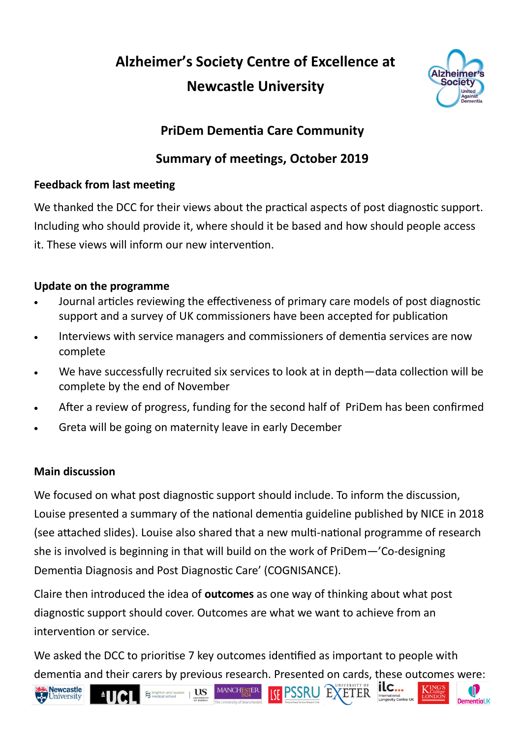**Alzheimer's Society Centre of Excellence at Newcastle University**



# **PriDem Dementia Care Community**

## **Summary of meetings, October 2019**

## **Feedback from last meeting**

We thanked the DCC for their views about the practical aspects of post diagnostic support. Including who should provide it, where should it be based and how should people access it. These views will inform our new intervention.

### **Update on the programme**

- Journal articles reviewing the effectiveness of primary care models of post diagnostic support and a survey of UK commissioners have been accepted for publication
- Interviews with service managers and commissioners of dementia services are now complete
- We have successfully recruited six services to look at in depth—data collection will be complete by the end of November
- After a review of progress, funding for the second half of PriDem has been confirmed
- Greta will be going on maternity leave in early December

#### **Main discussion**

We focused on what post diagnostic support should include. To inform the discussion, Louise presented a summary of the national dementia guideline published by NICE in 2018 (see attached slides). Louise also shared that a new multi-national programme of research she is involved is beginning in that will build on the work of PriDem—'Co-designing Dementia Diagnosis and Post Diagnostic Care' (COGNISANCE).

Claire then introduced the idea of **outcomes** as one way of thinking about what post diagnostic support should cover. Outcomes are what we want to achieve from an intervention or service.

We asked the DCC to prioritise 7 key outcomes identified as important to people with dementia and their carers by previous research. Presented on cards, these outcomes were:







**US** 





**KETER**